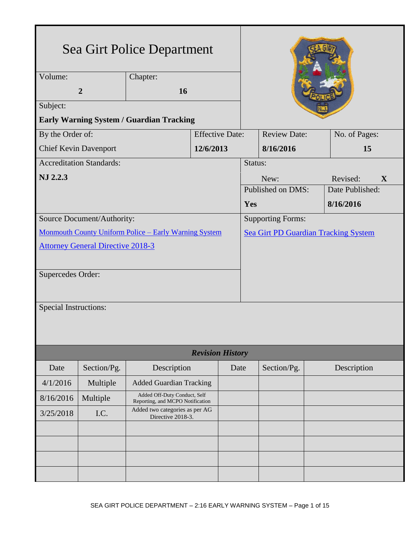| Sea Girt Police Department                                   |                |                                                                  |                        |                     |                                             |  |                 |  |
|--------------------------------------------------------------|----------------|------------------------------------------------------------------|------------------------|---------------------|---------------------------------------------|--|-----------------|--|
| $\overline{Volume}$ :<br>Chapter:                            |                |                                                                  |                        |                     |                                             |  |                 |  |
|                                                              | $\overline{2}$ | 16                                                               |                        |                     |                                             |  |                 |  |
| Subject:                                                     |                |                                                                  |                        |                     |                                             |  |                 |  |
| <b>Early Warning System / Guardian Tracking</b>              |                |                                                                  |                        |                     |                                             |  |                 |  |
| By the Order of:                                             |                |                                                                  | <b>Effective Date:</b> | <b>Review Date:</b> |                                             |  | No. of Pages:   |  |
| <b>Chief Kevin Davenport</b>                                 |                |                                                                  | 12/6/2013              | 8/16/2016           |                                             |  | 15              |  |
| <b>Accreditation Standards:</b>                              |                |                                                                  |                        | Status:             |                                             |  |                 |  |
| NJ 2.2.3                                                     |                |                                                                  |                        |                     | New:<br>Revised:<br>X                       |  |                 |  |
|                                                              |                |                                                                  |                        | Published on DMS:   |                                             |  | Date Published: |  |
|                                                              |                |                                                                  |                        |                     | Yes                                         |  | 8/16/2016       |  |
| Source Document/Authority:                                   |                |                                                                  |                        |                     | <b>Supporting Forms:</b>                    |  |                 |  |
| <b>Monmouth County Uniform Police - Early Warning System</b> |                |                                                                  |                        |                     | <b>Sea Girt PD Guardian Tracking System</b> |  |                 |  |
| <b>Attorney General Directive 2018-3</b>                     |                |                                                                  |                        |                     |                                             |  |                 |  |
| Supercedes Order:                                            |                |                                                                  |                        |                     |                                             |  |                 |  |
| <b>Special Instructions:</b>                                 |                |                                                                  |                        |                     |                                             |  |                 |  |
|                                                              |                |                                                                  |                        |                     |                                             |  |                 |  |
| <b>Revision History</b>                                      |                |                                                                  |                        |                     |                                             |  |                 |  |
| Date                                                         | Section/Pg.    | Description                                                      | Date                   |                     | Section/Pg.                                 |  | Description     |  |
| 4/1/2016                                                     | Multiple       | <b>Added Guardian Tracking</b>                                   |                        |                     |                                             |  |                 |  |
| 8/16/2016                                                    | Multiple       | Added Off-Duty Conduct, Self<br>Reporting, and MCPO Notification |                        |                     |                                             |  |                 |  |
| 3/25/2018                                                    | I.C.           | Added two categories as per AG<br>Directive 2018-3.              |                        |                     |                                             |  |                 |  |
|                                                              |                |                                                                  |                        |                     |                                             |  |                 |  |
|                                                              |                |                                                                  |                        |                     |                                             |  |                 |  |
|                                                              |                |                                                                  |                        |                     |                                             |  |                 |  |
|                                                              |                |                                                                  |                        |                     |                                             |  |                 |  |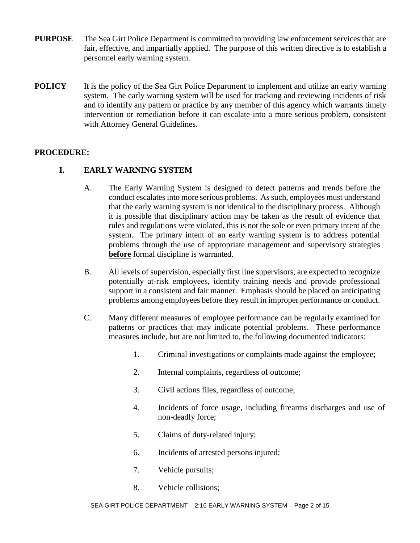- **PURPOSE** The Sea Girt Police Department is committed to providing law enforcement services that are fair, effective, and impartially applied. The purpose of this written directive is to establish a personnel early warning system.
- **POLICY** It is the policy of the Sea Girt Police Department to implement and utilize an early warning system. The early warning system will be used for tracking and reviewing incidents of risk and to identify any pattern or practice by any member of this agency which warrants timely intervention or remediation before it can escalate into a more serious problem, consistent with Attorney General Guidelines.

### **PROCEDURE:**

## **I. EARLY WARNING SYSTEM**

- A. The Early Warning System is designed to detect patterns and trends before the conduct escalates into more serious problems. As such, employees must understand that the early warning system is not identical to the disciplinary process. Although it is possible that disciplinary action may be taken as the result of evidence that rules and regulations were violated, this is not the sole or even primary intent of the system. The primary intent of an early warning system is to address potential problems through the use of appropriate management and supervisory strategies **before** formal discipline is warranted.
- B. All levels of supervision, especially first line supervisors, are expected to recognize potentially at-risk employees, identify training needs and provide professional support in a consistent and fair manner. Emphasis should be placed on anticipating problems among employees before they result in improper performance or conduct.
- C. Many different measures of employee performance can be regularly examined for patterns or practices that may indicate potential problems. These performance measures include, but are not limited to, the following documented indicators:
	- 1. Criminal investigations or complaints made against the employee;
	- 2. Internal complaints, regardless of outcome;
	- 3. Civil actions files, regardless of outcome;
	- 4. Incidents of force usage, including firearms discharges and use of non-deadly force;
	- 5. Claims of duty-related injury;
	- 6. Incidents of arrested persons injured;
	- 7. Vehicle pursuits;
	- 8. Vehicle collisions;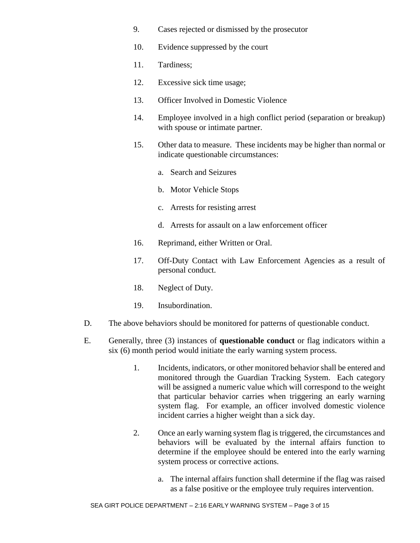- 9. Cases rejected or dismissed by the prosecutor
- 10. Evidence suppressed by the court
- 11. Tardiness;
- 12. Excessive sick time usage;
- 13. Officer Involved in Domestic Violence
- 14. Employee involved in a high conflict period (separation or breakup) with spouse or intimate partner.
- 15. Other data to measure. These incidents may be higher than normal or indicate questionable circumstances:
	- a. Search and Seizures
	- b. Motor Vehicle Stops
	- c. Arrests for resisting arrest
	- d. Arrests for assault on a law enforcement officer
- 16. Reprimand, either Written or Oral.
- 17. Off-Duty Contact with Law Enforcement Agencies as a result of personal conduct.
- 18. Neglect of Duty.
- 19. Insubordination.
- D. The above behaviors should be monitored for patterns of questionable conduct.
- E. Generally, three (3) instances of **questionable conduct** or flag indicators within a six (6) month period would initiate the early warning system process.
	- 1. Incidents, indicators, or other monitored behavior shall be entered and monitored through the Guardian Tracking System. Each category will be assigned a numeric value which will correspond to the weight that particular behavior carries when triggering an early warning system flag. For example, an officer involved domestic violence incident carries a higher weight than a sick day.
	- 2. Once an early warning system flag is triggered, the circumstances and behaviors will be evaluated by the internal affairs function to determine if the employee should be entered into the early warning system process or corrective actions.
		- a. The internal affairs function shall determine if the flag was raised as a false positive or the employee truly requires intervention.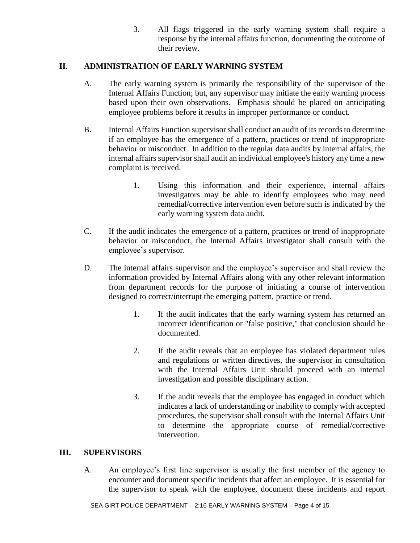3. All flags triggered in the early warning system shall require a response by the internal affairs function, documenting the outcome of their review.

### **II. ADMINISTRATION OF EARLY WARNING SYSTEM**

- A. The early warning system is primarily the responsibility of the supervisor of the Internal Affairs Function; but, any supervisor may initiate the early warning process based upon their own observations. Emphasis should be placed on anticipating employee problems before it results in improper performance or conduct.
- B. Internal Affairs Function supervisor shall conduct an audit of its records to determine if an employee has the emergence of a pattern, practices or trend of inappropriate behavior or misconduct. In addition to the regular data audits by internal affairs, the internal affairs supervisor shall audit an individual employee's history any time a new complaint is received.
	- 1. Using this information and their experience, internal affairs investigators may be able to identify employees who may need remedial/corrective intervention even before such is indicated by the early warning system data audit.
- C. If the audit indicates the emergence of a pattern, practices or trend of inappropriate behavior or misconduct, the Internal Affairs investigator shall consult with the employee's supervisor.
- D. The internal affairs supervisor and the employee's supervisor and shall review the information provided by Internal Affairs along with any other relevant information from department records for the purpose of initiating a course of intervention designed to correct/interrupt the emerging pattern, practice or trend.
	- 1. If the audit indicates that the early warning system has returned an incorrect identification or "false positive," that conclusion should be documented.
	- 2. If the audit reveals that an employee has violated department rules and regulations or written directives, the supervisor in consultation with the Internal Affairs Unit should proceed with an internal investigation and possible disciplinary action.
	- 3. If the audit reveals that the employee has engaged in conduct which indicates a lack of understanding or inability to comply with accepted procedures, the supervisor shall consult with the Internal Affairs Unit to determine the appropriate course of remedial/corrective intervention.

### **III. SUPERVISORS**

A. An employee's first line supervisor is usually the first member of the agency to encounter and document specific incidents that affect an employee. It is essential for the supervisor to speak with the employee, document these incidents and report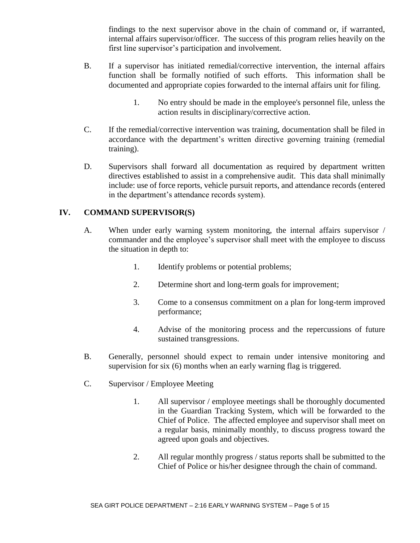findings to the next supervisor above in the chain of command or, if warranted, internal affairs supervisor/officer. The success of this program relies heavily on the first line supervisor's participation and involvement.

- B. If a supervisor has initiated remedial/corrective intervention, the internal affairs function shall be formally notified of such efforts. This information shall be documented and appropriate copies forwarded to the internal affairs unit for filing.
	- 1. No entry should be made in the employee's personnel file, unless the action results in disciplinary/corrective action.
- C. If the remedial/corrective intervention was training, documentation shall be filed in accordance with the department's written directive governing training (remedial training).
- D. Supervisors shall forward all documentation as required by department written directives established to assist in a comprehensive audit. This data shall minimally include: use of force reports, vehicle pursuit reports, and attendance records (entered in the department's attendance records system).

### **IV. COMMAND SUPERVISOR(S)**

- A. When under early warning system monitoring, the internal affairs supervisor / commander and the employee's supervisor shall meet with the employee to discuss the situation in depth to:
	- 1. Identify problems or potential problems;
	- 2. Determine short and long-term goals for improvement;
	- 3. Come to a consensus commitment on a plan for long-term improved performance;
	- 4. Advise of the monitoring process and the repercussions of future sustained transgressions.
- B. Generally, personnel should expect to remain under intensive monitoring and supervision for six (6) months when an early warning flag is triggered.
- C. Supervisor / Employee Meeting
	- 1. All supervisor / employee meetings shall be thoroughly documented in the Guardian Tracking System, which will be forwarded to the Chief of Police. The affected employee and supervisor shall meet on a regular basis, minimally monthly, to discuss progress toward the agreed upon goals and objectives.
	- 2. All regular monthly progress / status reports shall be submitted to the Chief of Police or his/her designee through the chain of command.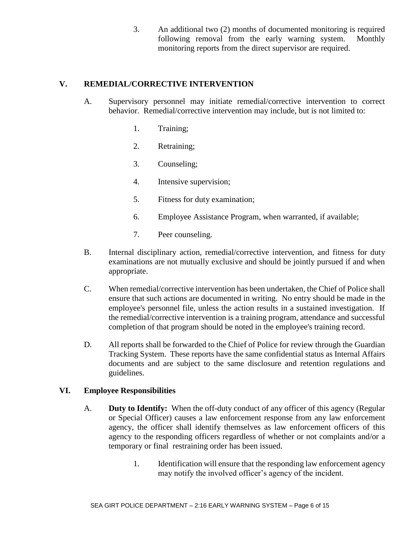3. An additional two (2) months of documented monitoring is required following removal from the early warning system. Monthly monitoring reports from the direct supervisor are required.

### **V. REMEDIAL/CORRECTIVE INTERVENTION**

- A. Supervisory personnel may initiate remedial/corrective intervention to correct behavior. Remedial/corrective intervention may include, but is not limited to:
	- 1. Training;
	- 2. Retraining;
	- 3. Counseling;
	- 4. Intensive supervision;
	- 5. Fitness for duty examination;
	- 6. Employee Assistance Program, when warranted, if available;
	- 7. Peer counseling.
- B. Internal disciplinary action, remedial/corrective intervention, and fitness for duty examinations are not mutually exclusive and should be jointly pursued if and when appropriate.
- C. When remedial/corrective intervention has been undertaken, the Chief of Police shall ensure that such actions are documented in writing. No entry should be made in the employee's personnel file, unless the action results in a sustained investigation. If the remedial/corrective intervention is a training program, attendance and successful completion of that program should be noted in the employee's training record.
- D. All reports shall be forwarded to the Chief of Police for review through the Guardian Tracking System. These reports have the same confidential status as Internal Affairs documents and are subject to the same disclosure and retention regulations and guidelines.

### **VI. Employee Responsibilities**

- A. **Duty to Identify:** When the off-duty conduct of any officer of this agency (Regular or Special Officer) causes a law enforcement response from any law enforcement agency, the officer shall identify themselves as law enforcement officers of this agency to the responding officers regardless of whether or not complaints and/or a temporary or final restraining order has been issued.
	- 1. Identification will ensure that the responding law enforcement agency may notify the involved officer's agency of the incident.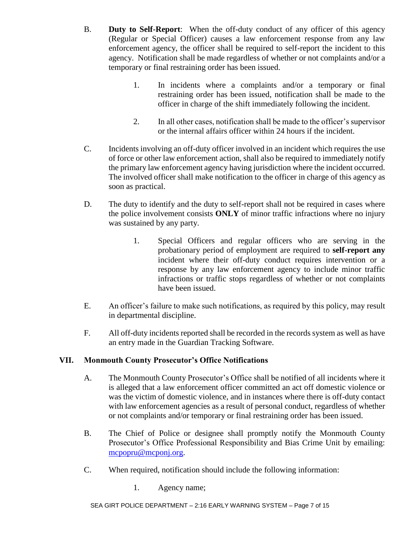- B. **Duty to Self-Report**: When the off-duty conduct of any officer of this agency (Regular or Special Officer) causes a law enforcement response from any law enforcement agency, the officer shall be required to self-report the incident to this agency. Notification shall be made regardless of whether or not complaints and/or a temporary or final restraining order has been issued.
	- 1. In incidents where a complaints and/or a temporary or final restraining order has been issued, notification shall be made to the officer in charge of the shift immediately following the incident.
	- 2. In all other cases, notification shall be made to the officer's supervisor or the internal affairs officer within 24 hours if the incident.
- C. Incidents involving an off-duty officer involved in an incident which requires the use of force or other law enforcement action, shall also be required to immediately notify the primary law enforcement agency having jurisdiction where the incident occurred. The involved officer shall make notification to the officer in charge of this agency as soon as practical.
- D. The duty to identify and the duty to self-report shall not be required in cases where the police involvement consists **ONLY** of minor traffic infractions where no injury was sustained by any party.
	- 1. Special Officers and regular officers who are serving in the probationary period of employment are required to **self-report any**  incident where their off-duty conduct requires intervention or a response by any law enforcement agency to include minor traffic infractions or traffic stops regardless of whether or not complaints have been issued.
- E. An officer's failure to make such notifications, as required by this policy, may result in departmental discipline.
- F. All off-duty incidents reported shall be recorded in the records system as well as have an entry made in the Guardian Tracking Software.

# **VII. Monmouth County Prosecutor's Office Notifications**

- A. The Monmouth County Prosecutor's Office shall be notified of all incidents where it is alleged that a law enforcement officer committed an act off domestic violence or was the victim of domestic violence, and in instances where there is off-duty contact with law enforcement agencies as a result of personal conduct, regardless of whether or not complaints and/or temporary or final restraining order has been issued.
- B. The Chief of Police or designee shall promptly notify the Monmouth County Prosecutor's Office Professional Responsibility and Bias Crime Unit by emailing: [mcpopru@mcponj.org.](mailto:mcpopru@mcponj.org)
- C. When required, notification should include the following information:
	- 1. Agency name;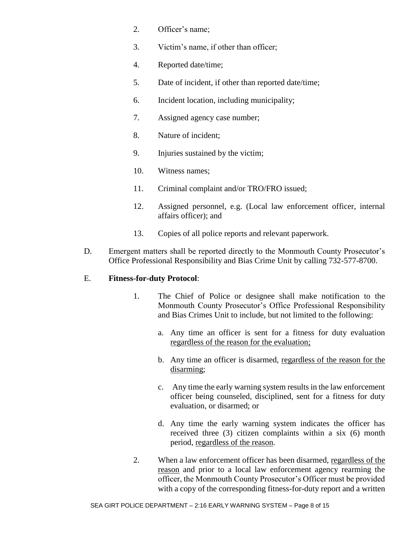- 2. Officer's name;
- 3. Victim's name, if other than officer;
- 4. Reported date/time;
- 5. Date of incident, if other than reported date/time;
- 6. Incident location, including municipality;
- 7. Assigned agency case number;
- 8. Nature of incident;
- 9. Injuries sustained by the victim;
- 10. Witness names;
- 11. Criminal complaint and/or TRO/FRO issued;
- 12. Assigned personnel, e.g. (Local law enforcement officer, internal affairs officer); and
- 13. Copies of all police reports and relevant paperwork.
- D. Emergent matters shall be reported directly to the Monmouth County Prosecutor's Office Professional Responsibility and Bias Crime Unit by calling 732-577-8700.

### E. **Fitness-for-duty Protocol**:

- 1. The Chief of Police or designee shall make notification to the Monmouth County Prosecutor's Office Professional Responsibility and Bias Crimes Unit to include, but not limited to the following:
	- a. Any time an officer is sent for a fitness for duty evaluation regardless of the reason for the evaluation;
	- b. Any time an officer is disarmed, regardless of the reason for the disarming;
	- c. Any time the early warning system results in the law enforcement officer being counseled, disciplined, sent for a fitness for duty evaluation, or disarmed; or
	- d. Any time the early warning system indicates the officer has received three (3) citizen complaints within a six (6) month period, regardless of the reason.
- 2. When a law enforcement officer has been disarmed, regardless of the reason and prior to a local law enforcement agency rearming the officer, the Monmouth County Prosecutor's Officer must be provided with a copy of the corresponding fitness-for-duty report and a written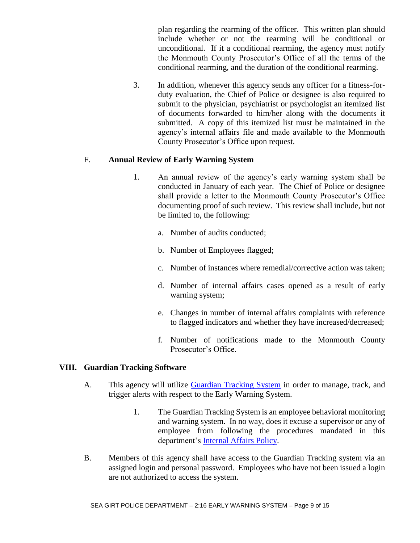plan regarding the rearming of the officer. This written plan should include whether or not the rearming will be conditional or unconditional. If it a conditional rearming, the agency must notify the Monmouth County Prosecutor's Office of all the terms of the conditional rearming, and the duration of the conditional rearming.

3. In addition, whenever this agency sends any officer for a fitness-forduty evaluation, the Chief of Police or designee is also required to submit to the physician, psychiatrist or psychologist an itemized list of documents forwarded to him/her along with the documents it submitted. A copy of this itemized list must be maintained in the agency's internal affairs file and made available to the Monmouth County Prosecutor's Office upon request.

#### F. **Annual Review of Early Warning System**

- 1. An annual review of the agency's early warning system shall be conducted in January of each year. The Chief of Police or designee shall provide a letter to the Monmouth County Prosecutor's Office documenting proof of such review. This review shall include, but not be limited to, the following:
	- a. Number of audits conducted;
	- b. Number of Employees flagged;
	- c. Number of instances where remedial/corrective action was taken;
	- d. Number of internal affairs cases opened as a result of early warning system;
	- e. Changes in number of internal affairs complaints with reference to flagged indicators and whether they have increased/decreased;
	- f. Number of notifications made to the Monmouth County Prosecutor's Office.

#### **VIII. Guardian Tracking Software**

- A. This agency will utilize [Guardian Tracking System](https://app2.guardian-tracking.com/SeaGirtNJ/Account/LogOn.mvc?ReturnUrl=%2fSeaGirtNJ) in order to manage, track, and trigger alerts with respect to the Early Warning System.
	- 1. The Guardian Tracking System is an employee behavioral monitoring and warning system. In no way, does it excuse a supervisor or any of employee from following the procedures mandated in this department's [Internal Affairs Policy.](https://powerdms.com/link/IDS/document/?id=105539)
- B. Members of this agency shall have access to the Guardian Tracking system via an assigned login and personal password. Employees who have not been issued a login are not authorized to access the system.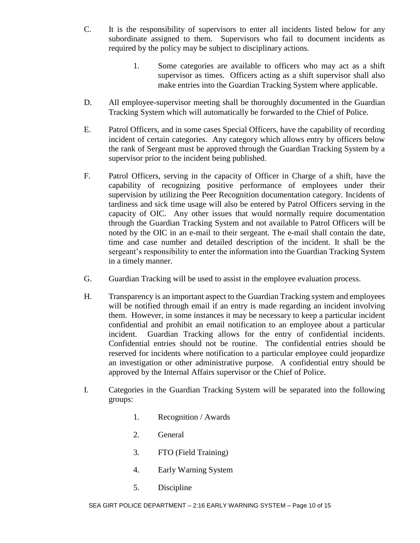- C. It is the responsibility of supervisors to enter all incidents listed below for any subordinate assigned to them. Supervisors who fail to document incidents as required by the policy may be subject to disciplinary actions.
	- 1. Some categories are available to officers who may act as a shift supervisor as times. Officers acting as a shift supervisor shall also make entries into the Guardian Tracking System where applicable.
- D. All employee-supervisor meeting shall be thoroughly documented in the Guardian Tracking System which will automatically be forwarded to the Chief of Police.
- E. Patrol Officers, and in some cases Special Officers, have the capability of recording incident of certain categories. Any category which allows entry by officers below the rank of Sergeant must be approved through the Guardian Tracking System by a supervisor prior to the incident being published.
- F. Patrol Officers, serving in the capacity of Officer in Charge of a shift, have the capability of recognizing positive performance of employees under their supervision by utilizing the Peer Recognition documentation category. Incidents of tardiness and sick time usage will also be entered by Patrol Officers serving in the capacity of OIC. Any other issues that would normally require documentation through the Guardian Tracking System and not available to Patrol Officers will be noted by the OIC in an e-mail to their sergeant. The e-mail shall contain the date, time and case number and detailed description of the incident. It shall be the sergeant's responsibility to enter the information into the Guardian Tracking System in a timely manner.
- G. Guardian Tracking will be used to assist in the employee evaluation process.
- H. Transparency is an important aspect to the Guardian Tracking system and employees will be notified through email if an entry is made regarding an incident involving them. However, in some instances it may be necessary to keep a particular incident confidential and prohibit an email notification to an employee about a particular incident. Guardian Tracking allows for the entry of confidential incidents. Confidential entries should not be routine. The confidential entries should be reserved for incidents where notification to a particular employee could jeopardize an investigation or other administrative purpose. A confidential entry should be approved by the Internal Affairs supervisor or the Chief of Police.
- I. Categories in the Guardian Tracking System will be separated into the following groups:
	- 1. Recognition / Awards
	- 2. General
	- 3. FTO (Field Training)
	- 4. Early Warning System
	- 5. Discipline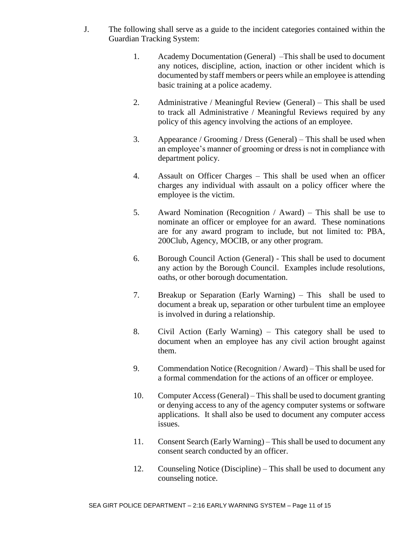- J. The following shall serve as a guide to the incident categories contained within the Guardian Tracking System:
	- 1. Academy Documentation (General) –This shall be used to document any notices, discipline, action, inaction or other incident which is documented by staff members or peers while an employee is attending basic training at a police academy.
	- 2. Administrative / Meaningful Review (General) This shall be used to track all Administrative / Meaningful Reviews required by any policy of this agency involving the actions of an employee.
	- 3. Appearance / Grooming / Dress (General) This shall be used when an employee's manner of grooming or dress is not in compliance with department policy.
	- 4. Assault on Officer Charges This shall be used when an officer charges any individual with assault on a policy officer where the employee is the victim.
	- 5. Award Nomination (Recognition / Award) This shall be use to nominate an officer or employee for an award. These nominations are for any award program to include, but not limited to: PBA, 200Club, Agency, MOCIB, or any other program.
	- 6. Borough Council Action (General) This shall be used to document any action by the Borough Council. Examples include resolutions, oaths, or other borough documentation.
	- 7. Breakup or Separation (Early Warning) This shall be used to document a break up, separation or other turbulent time an employee is involved in during a relationship.
	- 8. Civil Action (Early Warning) This category shall be used to document when an employee has any civil action brought against them.
	- 9. Commendation Notice (Recognition / Award) This shall be used for a formal commendation for the actions of an officer or employee.
	- 10. Computer Access (General) This shall be used to document granting or denying access to any of the agency computer systems or software applications. It shall also be used to document any computer access issues.
	- 11. Consent Search (Early Warning) This shall be used to document any consent search conducted by an officer.
	- 12. Counseling Notice (Discipline) This shall be used to document any counseling notice.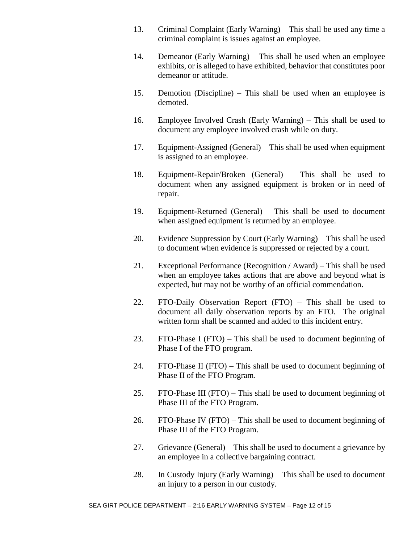- 13. Criminal Complaint (Early Warning) This shall be used any time a criminal complaint is issues against an employee.
- 14. Demeanor (Early Warning) This shall be used when an employee exhibits, or is alleged to have exhibited, behavior that constitutes poor demeanor or attitude.
- 15. Demotion (Discipline) This shall be used when an employee is demoted.
- 16. Employee Involved Crash (Early Warning) This shall be used to document any employee involved crash while on duty.
- 17. Equipment-Assigned (General) This shall be used when equipment is assigned to an employee.
- 18. Equipment-Repair/Broken (General) This shall be used to document when any assigned equipment is broken or in need of repair.
- 19. Equipment-Returned (General) This shall be used to document when assigned equipment is returned by an employee.
- 20. Evidence Suppression by Court (Early Warning) This shall be used to document when evidence is suppressed or rejected by a court.
- 21. Exceptional Performance (Recognition / Award) This shall be used when an employee takes actions that are above and beyond what is expected, but may not be worthy of an official commendation.
- 22. FTO-Daily Observation Report (FTO) This shall be used to document all daily observation reports by an FTO. The original written form shall be scanned and added to this incident entry.
- 23. FTO-Phase I (FTO) This shall be used to document beginning of Phase I of the FTO program.
- 24. FTO-Phase II (FTO) This shall be used to document beginning of Phase II of the FTO Program.
- 25. FTO-Phase III (FTO) This shall be used to document beginning of Phase III of the FTO Program.
- 26. FTO-Phase IV (FTO) This shall be used to document beginning of Phase III of the FTO Program.
- 27. Grievance (General) This shall be used to document a grievance by an employee in a collective bargaining contract.
- 28. In Custody Injury (Early Warning) This shall be used to document an injury to a person in our custody.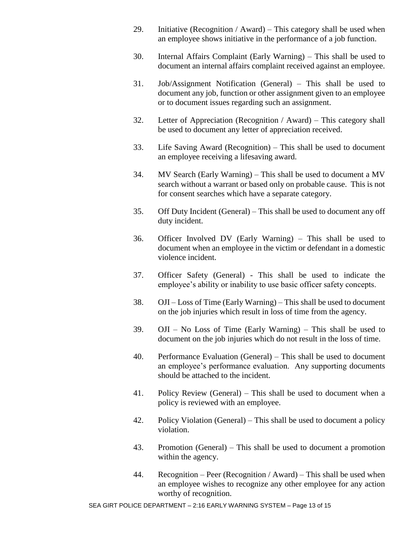- 29. Initiative (Recognition / Award) This category shall be used when an employee shows initiative in the performance of a job function.
- 30. Internal Affairs Complaint (Early Warning) This shall be used to document an internal affairs complaint received against an employee.
- 31. Job/Assignment Notification (General) This shall be used to document any job, function or other assignment given to an employee or to document issues regarding such an assignment.
- 32. Letter of Appreciation (Recognition / Award) This category shall be used to document any letter of appreciation received.
- 33. Life Saving Award (Recognition) This shall be used to document an employee receiving a lifesaving award.
- 34. MV Search (Early Warning) This shall be used to document a MV search without a warrant or based only on probable cause. This is not for consent searches which have a separate category.
- 35. Off Duty Incident (General) This shall be used to document any off duty incident.
- 36. Officer Involved DV (Early Warning) This shall be used to document when an employee in the victim or defendant in a domestic violence incident.
- 37. Officer Safety (General) This shall be used to indicate the employee's ability or inability to use basic officer safety concepts.
- 38. OJI Loss of Time (Early Warning) This shall be used to document on the job injuries which result in loss of time from the agency.
- 39. OJI No Loss of Time (Early Warning) This shall be used to document on the job injuries which do not result in the loss of time.
- 40. Performance Evaluation (General) This shall be used to document an employee's performance evaluation. Any supporting documents should be attached to the incident.
- 41. Policy Review (General) This shall be used to document when a policy is reviewed with an employee.
- 42. Policy Violation (General) This shall be used to document a policy violation.
- 43. Promotion (General) This shall be used to document a promotion within the agency.
- 44. Recognition Peer (Recognition / Award) This shall be used when an employee wishes to recognize any other employee for any action worthy of recognition.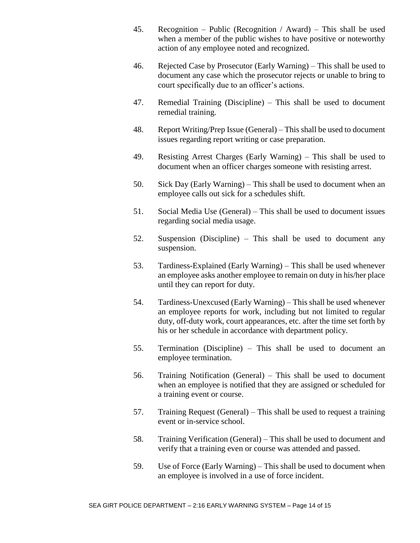- 45. Recognition Public (Recognition / Award) This shall be used when a member of the public wishes to have positive or noteworthy action of any employee noted and recognized.
- 46. Rejected Case by Prosecutor (Early Warning) This shall be used to document any case which the prosecutor rejects or unable to bring to court specifically due to an officer's actions.
- 47. Remedial Training (Discipline) This shall be used to document remedial training.
- 48. Report Writing/Prep Issue (General) This shall be used to document issues regarding report writing or case preparation.
- 49. Resisting Arrest Charges (Early Warning) This shall be used to document when an officer charges someone with resisting arrest.
- 50. Sick Day (Early Warning) This shall be used to document when an employee calls out sick for a schedules shift.
- 51. Social Media Use (General) This shall be used to document issues regarding social media usage.
- 52. Suspension (Discipline) This shall be used to document any suspension.
- 53. Tardiness-Explained (Early Warning) This shall be used whenever an employee asks another employee to remain on duty in his/her place until they can report for duty.
- 54. Tardiness-Unexcused (Early Warning) This shall be used whenever an employee reports for work, including but not limited to regular duty, off-duty work, court appearances, etc. after the time set forth by his or her schedule in accordance with department policy.
- 55. Termination (Discipline) This shall be used to document an employee termination.
- 56. Training Notification (General) This shall be used to document when an employee is notified that they are assigned or scheduled for a training event or course.
- 57. Training Request (General) This shall be used to request a training event or in-service school.
- 58. Training Verification (General) This shall be used to document and verify that a training even or course was attended and passed.
- 59. Use of Force (Early Warning) This shall be used to document when an employee is involved in a use of force incident.